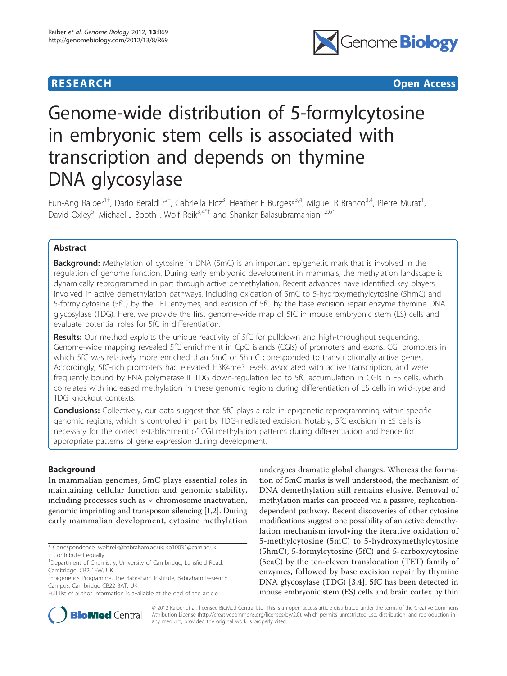

**RESEARCH CONSIDERED ACCESS** 

# Genome-wide distribution of 5-formylcytosine in embryonic stem cells is associated with transcription and depends on thymine DNA glycosylase

Eun-Ang Raiber<sup>1†</sup>, Dario Beraldi<sup>1,2†</sup>, Gabriella Ficz<sup>3</sup>, Heather E Burgess<sup>3,4</sup>, Miguel R Branco<sup>3,4</sup>, Pierre Murat<sup>1</sup> , David Oxley<sup>5</sup>, Michael J Booth<sup>1</sup>, Wolf Reik<sup>3,4\*†</sup> and Shankar Balasubramanian<sup>1,2,6\*</sup>

# Abstract

**Background:** Methylation of cytosine in DNA (5mC) is an important epigenetic mark that is involved in the regulation of genome function. During early embryonic development in mammals, the methylation landscape is dynamically reprogrammed in part through active demethylation. Recent advances have identified key players involved in active demethylation pathways, including oxidation of 5mC to 5-hydroxymethylcytosine (5hmC) and 5-formylcytosine (5fC) by the TET enzymes, and excision of 5fC by the base excision repair enzyme thymine DNA glycosylase (TDG). Here, we provide the first genome-wide map of 5fC in mouse embryonic stem (ES) cells and evaluate potential roles for 5fC in differentiation.

**Results:** Our method exploits the unique reactivity of 5fC for pulldown and high-throughput sequencing. Genome-wide mapping revealed 5fC enrichment in CpG islands (CGIs) of promoters and exons. CGI promoters in which 5fC was relatively more enriched than 5mC or 5hmC corresponded to transcriptionally active genes. Accordingly, 5fC-rich promoters had elevated H3K4me3 levels, associated with active transcription, and were frequently bound by RNA polymerase II. TDG down-regulation led to 5fC accumulation in CGIs in ES cells, which correlates with increased methylation in these genomic regions during differentiation of ES cells in wild-type and TDG knockout contexts.

**Conclusions:** Collectively, our data suggest that 5fC plays a role in epigenetic reprogramming within specific genomic regions, which is controlled in part by TDG-mediated excision. Notably, 5fC excision in ES cells is necessary for the correct establishment of CGI methylation patterns during differentiation and hence for appropriate patterns of gene expression during development.

# Background

In mammalian genomes, 5mC plays essential roles in maintaining cellular function and genomic stability, including processes such as  $\times$  chromosome inactivation, genomic imprinting and transposon silencing [[1,2](#page-10-0)]. During early mammalian development, cytosine methylation

undergoes dramatic global changes. Whereas the formation of 5mC marks is well understood, the mechanism of DNA demethylation still remains elusive. Removal of methylation marks can proceed via a passive, replicationdependent pathway. Recent discoveries of other cytosine modifications suggest one possibility of an active demethylation mechanism involving the iterative oxidation of 5-methylcytosine (5mC) to 5-hydroxymethylcytosine (5hmC), 5-formylcytosine (5fC) and 5-carboxycytosine (5caC) by the ten-eleven translocation (TET) family of enzymes, followed by base excision repair by thymine DNA glycosylase (TDG) [[3,4\]](#page-10-0). 5fC has been detected in mouse embryonic stem (ES) cells and brain cortex by thin



© 2012 Raiber et al.; licensee BioMed Central Ltd. This is an open access article distributed under the terms of the Creative Commons Attribution License [\(http://creativecommons.org/licenses/by/2.0](http://creativecommons.org/licenses/by/2.0)), which permits unrestricted use, distribution, and reproduction in any medium, provided the original work is properly cited.

<sup>\*</sup> Correspondence: [wolf.reik@babraham.ac.uk](mailto:wolf.reik@babraham.ac.uk); [sb10031@cam.ac.uk](mailto:sb10031@cam.ac.uk)

<sup>†</sup> Contributed equally <sup>1</sup>

<sup>&</sup>lt;sup>1</sup>Department of Chemistry, University of Cambridge, Lensfield Road, Cambridge, CB2 1EW, UK

<sup>&</sup>lt;sup>3</sup> Epigenetics Programme, The Babraham Institute, Babraham Research Campus, Cambridge CB22 3AT, UK

Full list of author information is available at the end of the article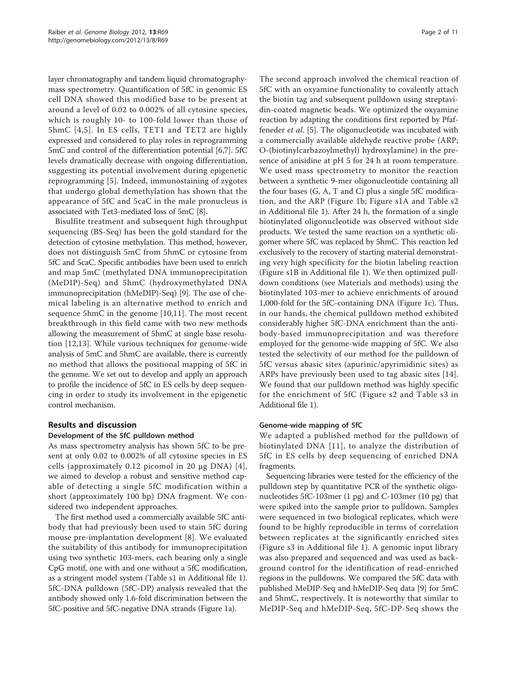layer chromatography and tandem liquid chromatographymass spectrometry. Quantification of 5fC in genomic ES cell DNA showed this modified base to be present at around a level of 0.02 to 0.002% of all cytosine species, which is roughly 10- to 100-fold lower than those of 5hmC [[4,5\]](#page-10-0). In ES cells, TET1 and TET2 are highly expressed and considered to play roles in reprogramming 5mC and control of the differentiation potential [\[6,7](#page-10-0)]. 5fC levels dramatically decrease with ongoing differentiation, suggesting its potential involvement during epigenetic reprogramming [[5\]](#page-10-0). Indeed, immunostaining of zygotes that undergo global demethylation has shown that the appearance of 5fC and 5caC in the male pronucleus is associated with Tet3-mediated loss of 5mC [[8\]](#page-10-0).

Bisulfite treatment and subsequent high throughput sequencing (BS-Seq) has been the gold standard for the detection of cytosine methylation. This method, however, does not distinguish 5mC from 5hmC or cytosine from 5fC and 5caC. Specific antibodies have been used to enrich and map 5mC (methylated DNA immunoprecipitation (MeDIP)-Seq) and 5hmC (hydroxymethylated DNA immunoprecipitation (hMeDIP)-Seq) [[9\]](#page-10-0). The use of chemical labeling is an alternative method to enrich and sequence 5hmC in the genome [\[10](#page-10-0),[11\]](#page-10-0). The most recent breakthrough in this field came with two new methods allowing the measurement of 5hmC at single base resolution [[12,13\]](#page-10-0). While various techniques for genome-wide analysis of 5mC and 5hmC are available, there is currently no method that allows the positional mapping of 5fC in the genome. We set out to develop and apply an approach to profile the incidence of 5fC in ES cells by deep sequencing in order to study its involvement in the epigenetic control mechanism.

#### Results and discussion

#### Development of the 5fC pulldown method

As mass spectrometry analysis has shown 5fC to be present at only 0.02 to 0.002% of all cytosine species in ES cells (approximately  $0.12$  picomol in 20  $\mu$ g DNA) [[4\]](#page-10-0), we aimed to develop a robust and sensitive method capable of detecting a single 5fC modification within a short (approximately 100 bp) DNA fragment. We considered two independent approaches.

The first method used a commercially available 5fC antibody that had previously been used to stain 5fC during mouse pre-implantation development [\[8](#page-10-0)]. We evaluated the suitability of this antibody for immunoprecipitation using two synthetic 103-mers, each bearing only a single CpG motif, one with and one without a 5fC modification, as a stringent model system (Table s1 in Additional file [1](#page-9-0)). 5fC-DNA pulldown (5fC-DP) analysis revealed that the antibody showed only 1.6-fold discrimination between the 5fC-positive and 5fC-negative DNA strands (Figure [1a\)](#page-2-0).

The second approach involved the chemical reaction of 5fC with an oxyamine functionality to covalently attach the biotin tag and subsequent pulldown using streptavidin-coated magnetic beads. We optimized the oxyamine reaction by adapting the conditions first reported by Pfaffeneder et al. [[5\]](#page-10-0). The oligonucleotide was incubated with a commercially available aldehyde reactive probe (ARP; O-(biotinylcarbazoylmethyl) hydroxylamine) in the presence of anisidine at pH 5 for 24 h at room temperature. We used mass spectrometry to monitor the reaction between a synthetic 9-mer oligonucleotide containing all the four bases (G, A, T and C) plus a single 5fC modification, and the ARP (Figure [1b;](#page-2-0) Figure s1A and Table s2 in Additional file [1](#page-9-0)). After 24 h, the formation of a single biotinylated oligonucleotide was observed without side products. We tested the same reaction on a synthetic oligomer where 5fC was replaced by 5hmC. This reaction led exclusively to the recovery of starting material demonstrating very high specificity for the biotin labeling reaction (Figure s1B in Additional file [1](#page-9-0)). We then optimized pulldown conditions (see Materials and methods) using the biotinylated 103-mer to achieve enrichments of around 1,000-fold for the 5fC-containing DNA (Figure [1c](#page-2-0)). Thus, in our hands, the chemical pulldown method exhibited considerably higher 5fC-DNA enrichment than the antibody-based immunoprecipitation and was therefore employed for the genome-wide mapping of 5fC. We also tested the selectivity of our method for the pulldown of 5fC versus abasic sites (apurinic/apyrimidinic sites) as ARPs have previously been used to tag abasic sites [[14](#page-10-0)]. We found that our pulldown method was highly specific for the enrichment of 5fC (Figure s2 and Table s3 in Additional file [1\)](#page-9-0).

#### Genome-wide mapping of 5fC

We adapted a published method for the pulldown of biotinylated DNA [[11](#page-10-0)], to analyze the distribution of 5fC in ES cells by deep sequencing of enriched DNA fragments.

Sequencing libraries were tested for the efficiency of the pulldown step by quantitative PCR of the synthetic oligonucleotides 5fC-103mer (1 pg) and C-103mer (10 pg) that were spiked into the sample prior to pulldown. Samples were sequenced in two biological replicates, which were found to be highly reproducible in terms of correlation between replicates at the significantly enriched sites (Figure s3 in Additional file [1\)](#page-9-0). A genomic input library was also prepared and sequenced and was used as background control for the identification of read-enriched regions in the pulldowns. We compared the 5fC data with published MeDIP-Seq and hMeDIP-Seq data [[9\]](#page-10-0) for 5mC and 5hmC, respectively. It is noteworthy that similar to MeDIP-Seq and hMeDIP-Seq, 5fC-DP-Seq shows the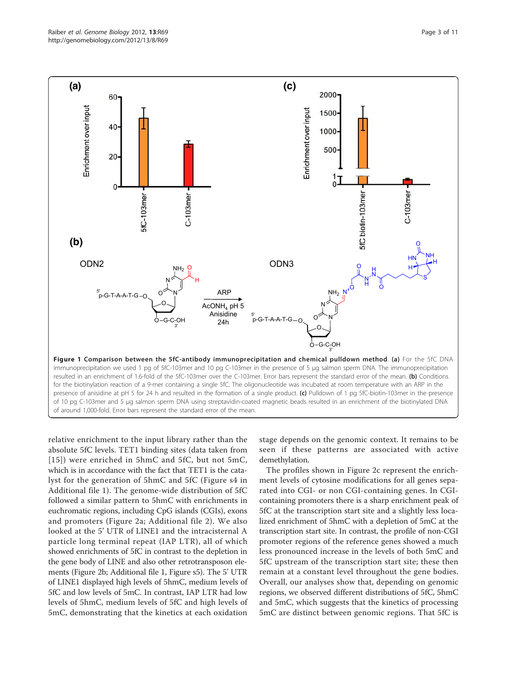<span id="page-2-0"></span>

for the biotinylation reaction of a 9-mer containing a single 5fC. The oligonucleotide was incubated at room temperature with an ARP in the presence of anisidine at pH 5 for 24 h and resulted in the formation of a single product. (c) Pulldown of 1 pg 5fC-biotin-103mer in the presence of 10 pg C-103mer and 5 µg salmon sperm DNA using streptavidin-coated magnetic beads resulted in an enrichment of the biotinylated DNA of around 1,000-fold. Error bars represent the standard error of the mean.

relative enrichment to the input library rather than the absolute 5fC levels. TET1 binding sites (data taken from [[15\]](#page-10-0)) were enriched in 5hmC and 5fC, but not 5mC, which is in accordance with the fact that TET1 is the catalyst for the generation of 5hmC and 5fC (Figure s4 in Additional file [1](#page-9-0)). The genome-wide distribution of 5fC followed a similar pattern to 5hmC with enrichments in euchromatic regions, including CpG islands (CGIs), exons and promoters (Figure [2a;](#page-3-0) Additional file [2](#page-9-0)). We also looked at the 5' UTR of LINE1 and the intracisternal A particle long terminal repeat (IAP LTR), all of which showed enrichments of 5fC in contrast to the depletion in the gene body of LINE and also other retrotransposon elements (Figure [2b;](#page-3-0) Additional file [1](#page-9-0), Figure s5). The 5' UTR of LINE1 displayed high levels of 5hmC, medium levels of 5fC and low levels of 5mC. In contrast, IAP LTR had low levels of 5hmC, medium levels of 5fC and high levels of 5mC, demonstrating that the kinetics at each oxidation

stage depends on the genomic context. It remains to be seen if these patterns are associated with active demethylation.

The profiles shown in Figure [2c](#page-3-0) represent the enrichment levels of cytosine modifications for all genes separated into CGI- or non CGI-containing genes. In CGIcontaining promoters there is a sharp enrichment peak of 5fC at the transcription start site and a slightly less localized enrichment of 5hmC with a depletion of 5mC at the transcription start site. In contrast, the profile of non-CGI promoter regions of the reference genes showed a much less pronounced increase in the levels of both 5mC and 5fC upstream of the transcription start site; these then remain at a constant level throughout the gene bodies. Overall, our analyses show that, depending on genomic regions, we observed different distributions of 5fC, 5hmC and 5mC, which suggests that the kinetics of processing 5mC are distinct between genomic regions. That 5fC is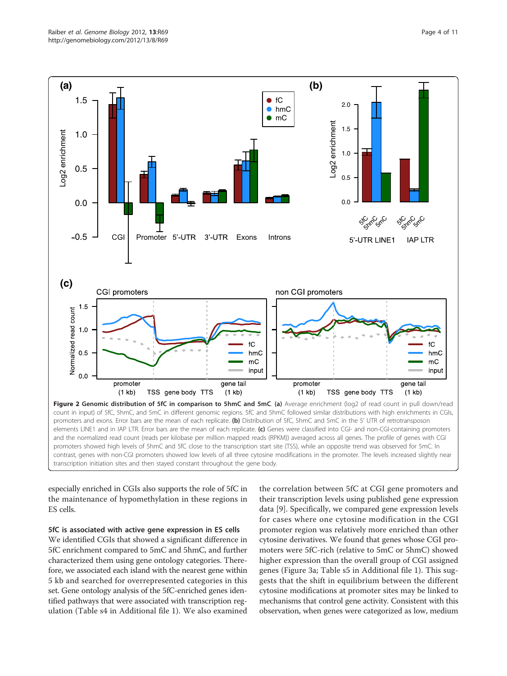<span id="page-3-0"></span>

especially enriched in CGIs also supports the role of 5fC in the maintenance of hypomethylation in these regions in ES cells.

#### 5fC is associated with active gene expression in ES cells

We identified CGIs that showed a significant difference in 5fC enrichment compared to 5mC and 5hmC, and further characterized them using gene ontology categories. Therefore, we associated each island with the nearest gene within 5 kb and searched for overrepresented categories in this set. Gene ontology analysis of the 5fC-enriched genes identified pathways that were associated with transcription regulation (Table s4 in Additional file [1\)](#page-9-0). We also examined

the correlation between 5fC at CGI gene promoters and their transcription levels using published gene expression data [[9\]](#page-10-0). Specifically, we compared gene expression levels for cases where one cytosine modification in the CGI promoter region was relatively more enriched than other cytosine derivatives. We found that genes whose CGI promoters were 5fC-rich (relative to 5mC or 5hmC) showed higher expression than the overall group of CGI assigned genes (Figure [3a;](#page-4-0) Table s5 in Additional file [1\)](#page-9-0). This suggests that the shift in equilibrium between the different cytosine modifications at promoter sites may be linked to mechanisms that control gene activity. Consistent with this observation, when genes were categorized as low, medium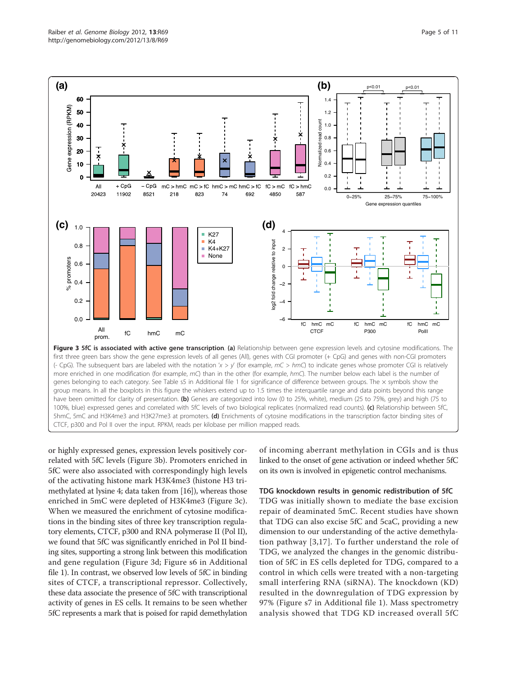<span id="page-4-0"></span>

CTCF, p300 and Pol II over the input. RPKM, reads per kilobase per million mapped reads.

or highly expressed genes, expression levels positively correlated with 5fC levels (Figure 3b). Promoters enriched in 5fC were also associated with correspondingly high levels of the activating histone mark H3K4me3 (histone H3 trimethylated at lysine 4; data taken from [\[16](#page-10-0)]), whereas those enriched in 5mC were depleted of H3K4me3 (Figure 3c). When we measured the enrichment of cytosine modifications in the binding sites of three key transcription regulatory elements, CTCF, p300 and RNA polymerase II (Pol II), we found that 5fC was significantly enriched in Pol II binding sites, supporting a strong link between this modification and gene regulation (Figure 3d; Figure s6 in Additional file [1\)](#page-9-0). In contrast, we observed low levels of 5fC in binding sites of CTCF, a transcriptional repressor. Collectively, these data associate the presence of 5fC with transcriptional activity of genes in ES cells. It remains to be seen whether 5fC represents a mark that is poised for rapid demethylation

of incoming aberrant methylation in CGIs and is thus linked to the onset of gene activation or indeed whether 5fC on its own is involved in epigenetic control mechanisms.

#### TDG knockdown results in genomic redistribution of 5fC

TDG was initially shown to mediate the base excision repair of deaminated 5mC. Recent studies have shown that TDG can also excise 5fC and 5caC, providing a new dimension to our understanding of the active demethylation pathway [[3](#page-10-0),[17\]](#page-10-0). To further understand the role of TDG, we analyzed the changes in the genomic distribution of 5fC in ES cells depleted for TDG, compared to a control in which cells were treated with a non-targeting small interfering RNA (siRNA). The knockdown (KD) resulted in the downregulation of TDG expression by 97% (Figure s7 in Additional file [1\)](#page-9-0). Mass spectrometry analysis showed that TDG KD increased overall 5fC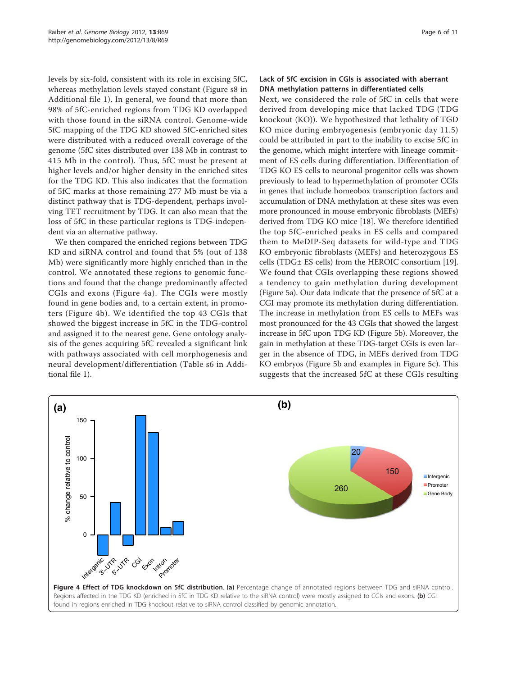levels by six-fold, consistent with its role in excising 5fC, whereas methylation levels stayed constant (Figure s8 in Additional file [1](#page-9-0)). In general, we found that more than 98% of 5fC-enriched regions from TDG KD overlapped with those found in the siRNA control. Genome-wide 5fC mapping of the TDG KD showed 5fC-enriched sites were distributed with a reduced overall coverage of the genome (5fC sites distributed over 138 Mb in contrast to 415 Mb in the control). Thus, 5fC must be present at higher levels and/or higher density in the enriched sites for the TDG KD. This also indicates that the formation of 5fC marks at those remaining 277 Mb must be via a distinct pathway that is TDG-dependent, perhaps involving TET recruitment by TDG. It can also mean that the loss of 5fC in these particular regions is TDG-independent via an alternative pathway.

We then compared the enriched regions between TDG KD and siRNA control and found that 5% (out of 138 Mb) were significantly more highly enriched than in the control. We annotated these regions to genomic functions and found that the change predominantly affected CGIs and exons (Figure 4a). The CGIs were mostly found in gene bodies and, to a certain extent, in promoters (Figure 4b). We identified the top 43 CGIs that showed the biggest increase in 5fC in the TDG-control and assigned it to the nearest gene. Gene ontology analysis of the genes acquiring 5fC revealed a significant link with pathways associated with cell morphogenesis and neural development/differentiation (Table s6 in Additional file [1](#page-9-0)).

### Lack of 5fC excision in CGIs is associated with aberrant DNA methylation patterns in differentiated cells

Next, we considered the role of 5fC in cells that were derived from developing mice that lacked TDG (TDG knockout (KO)). We hypothesized that lethality of TGD KO mice during embryogenesis (embryonic day 11.5) could be attributed in part to the inability to excise 5fC in the genome, which might interfere with lineage commitment of ES cells during differentiation. Differentiation of TDG KO ES cells to neuronal progenitor cells was shown previously to lead to hypermethylation of promoter CGIs in genes that include homeobox transcription factors and accumulation of DNA methylation at these sites was even more pronounced in mouse embryonic fibroblasts (MEFs) derived from TDG KO mice [[18\]](#page-10-0). We therefore identified the top 5fC-enriched peaks in ES cells and compared them to MeDIP-Seq datasets for wild-type and TDG KO embryonic fibroblasts (MEFs) and heterozygous ES cells (TDG± ES cells) from the HEROIC consortium [[19](#page-10-0)]. We found that CGIs overlapping these regions showed a tendency to gain methylation during development (Figure [5a\)](#page-6-0). Our data indicate that the presence of 5fC at a CGI may promote its methylation during differentiation. The increase in methylation from ES cells to MEFs was most pronounced for the 43 CGIs that showed the largest increase in 5fC upon TDG KD (Figure [5b](#page-6-0)). Moreover, the gain in methylation at these TDG-target CGIs is even larger in the absence of TDG, in MEFs derived from TDG KO embryos (Figure [5b](#page-6-0) and examples in Figure [5c](#page-6-0)). This suggests that the increased 5fC at these CGIs resulting

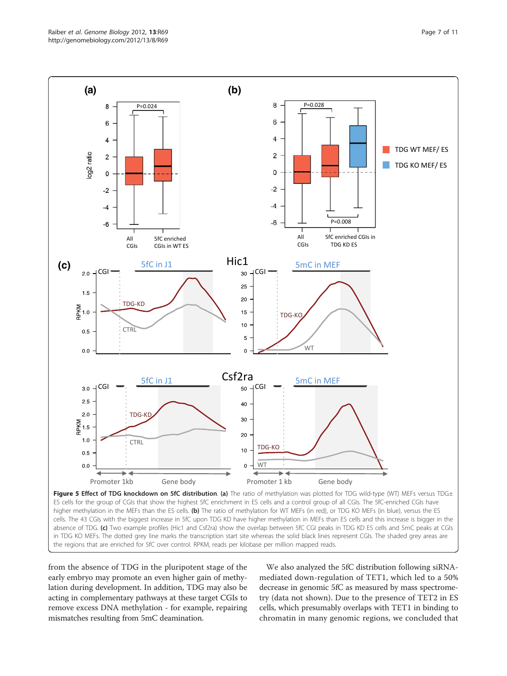<span id="page-6-0"></span>

cells. The 43 CGIs with the biggest increase in 5fC upon TDG KD have higher methylation in MEFs than ES cells and this increase is bigger in the absence of TDG. (c) Two example profiles (Hic1 and Csf2ra) show the overlap between 5fC CGI peaks in TDG KD ES cells and 5mC peaks at CGIs in TDG KO MEFs. The dotted grey line marks the transcription start site whereas the solid black lines represent CGIs. The shaded grey areas are the regions that are enriched for 5fC over control. RPKM, reads per kilobase per million mapped reads.

from the absence of TDG in the pluripotent stage of the early embryo may promote an even higher gain of methylation during development. In addition, TDG may also be acting in complementary pathways at these target CGIs to remove excess DNA methylation - for example, repairing mismatches resulting from 5mC deamination.

We also analyzed the 5fC distribution following siRNAmediated down-regulation of TET1, which led to a 50% decrease in genomic 5fC as measured by mass spectrometry (data not shown). Due to the presence of TET2 in ES cells, which presumably overlaps with TET1 in binding to chromatin in many genomic regions, we concluded that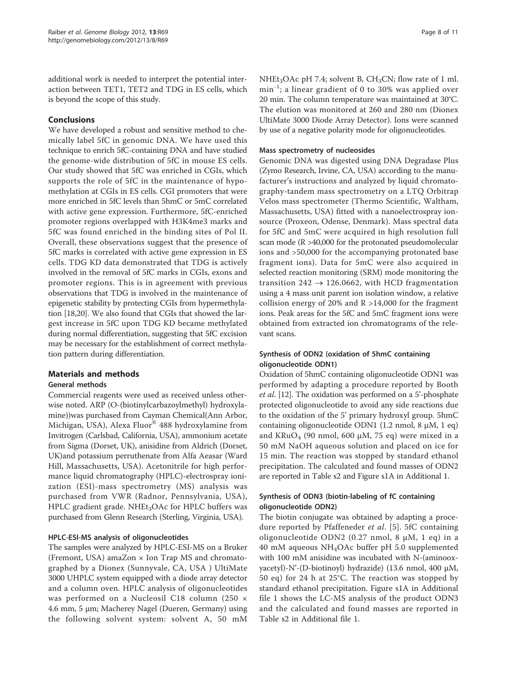additional work is needed to interpret the potential interaction between TET1, TET2 and TDG in ES cells, which is beyond the scope of this study.

# Conclusions

We have developed a robust and sensitive method to chemically label 5fC in genomic DNA. We have used this technique to enrich 5fC-containing DNA and have studied the genome-wide distribution of 5fC in mouse ES cells. Our study showed that 5fC was enriched in CGIs, which supports the role of 5fC in the maintenance of hypomethylation at CGIs in ES cells. CGI promoters that were more enriched in 5fC levels than 5hmC or 5mC correlated with active gene expression. Furthermore, 5fC-enriched promoter regions overlapped with H3K4me3 marks and 5fC was found enriched in the binding sites of Pol II. Overall, these observations suggest that the presence of 5fC marks is correlated with active gene expression in ES cells. TDG KD data demonstrated that TDG is actively involved in the removal of 5fC marks in CGIs, exons and promoter regions. This is in agreement with previous observations that TDG is involved in the maintenance of epigenetic stability by protecting CGIs from hypermethylation [\[18,20\]](#page-10-0). We also found that CGIs that showed the largest increase in 5fC upon TDG KD became methylated during normal differentiation, suggesting that 5fC excision may be necessary for the establishment of correct methylation pattern during differentiation.

# Materials and methods

#### General methods

Commercial reagents were used as received unless otherwise noted. ARP (O-(biotinylcarbazoylmethyl) hydroxylamine))was purchased from Cayman Chemical(Ann Arbor, Michigan, USA), Alexa Fluor® 488 hydroxylamine from Invitrogen (Carlsbad, California, USA), ammonium acetate from Sigma (Dorset, UK), anisidine from Aldrich (Dorset, UK)and potassium perruthenate from Alfa Aeasar (Ward Hill, Massachusetts, USA). Acetonitrile for high performance liquid chromatography (HPLC)-electrospray ionization (ESI)-mass spectrometry (MS) analysis was purchased from VWR (Radnor, Pennsylvania, USA), HPLC gradient grade. NHEt<sub>3</sub>OAc for HPLC buffers was purchased from Glenn Research (Sterling, Virginia, USA).

#### HPLC-ESI-MS analysis of oligonucleotides

The samples were analyzed by HPLC-ESI-MS on a Bruker (Fremont, USA) amaZon × Ion Trap MS and chromatographed by a Dionex (Sunnyvale, CA, USA ) UltiMate 3000 UHPLC system equipped with a diode array detector and a column oven. HPLC analysis of oligonucleotides was performed on a Nucleosil C18 column (250 × 4.6 mm, 5 μm; Macherey Nagel (Dueren, Germany) using the following solvent system: solvent A, 50 mM NHEt<sub>3</sub>OAc pH 7.4; solvent B,  $CH_3CN$ ; flow rate of 1 ml.  $min^{-1}$ ; a linear gradient of 0 to 30% was applied over 20 min. The column temperature was maintained at 30°C. The elution was monitored at 260 and 280 nm (Dionex UltiMate 3000 Diode Array Detector). Ions were scanned by use of a negative polarity mode for oligonucleotides.

#### Mass spectrometry of nucleosides

Genomic DNA was digested using DNA Degradase Plus (Zymo Research, Irvine, CA, USA) according to the manufacturer's instructions and analyzed by liquid chromatography-tandem mass spectrometry on a LTQ Orbitrap Velos mass spectrometer (Thermo Scientific, Waltham, Massachusetts, USA) fitted with a nanoelectrospray ionsource (Proxeon, Odense, Denmark). Mass spectral data for 5fC and 5mC were acquired in high resolution full scan mode (R >40,000 for the protonated pseudomolecular ions and >50,000 for the accompanying protonated base fragment ions). Data for 5mC were also acquired in selected reaction monitoring (SRM) mode monitoring the transition 242  $\rightarrow$  126.0662, with HCD fragmentation using a 4 mass unit parent ion isolation window, a relative collision energy of 20% and  $R > 14,000$  for the fragment ions. Peak areas for the 5fC and 5mC fragment ions were obtained from extracted ion chromatograms of the relevant scans.

# Synthesis of ODN2 (oxidation of 5hmC containing oligonucleotide ODN1)

Oxidation of 5hmC containing oligonucleotide ODN1 was performed by adapting a procedure reported by Booth et al. [\[12\]](#page-10-0). The oxidation was performed on a 5'-phosphate protected oligonucleotide to avoid any side reactions due to the oxidation of the 5' primary hydroxyl group. 5hmC containing oligonucleotide ODN1 (1.2 nmol, 8 μM, 1 eq) and KRuO<sub>4</sub> (90 nmol, 600  $\mu$ M, 75 eq) were mixed in a 50 mM NaOH aqueous solution and placed on ice for 15 min. The reaction was stopped by standard ethanol precipitation. The calculated and found masses of ODN2 are reported in Table s2 and Figure s1A in Additional 1.

# Synthesis of ODN3 (biotin-labeling of fC containing oligonucleotide ODN2)

The biotin conjugate was obtained by adapting a procedure reported by Pfaffeneder et al. [[5](#page-10-0)]. 5fC containing oligonucleotide ODN2 (0.27 nmol, 8 μM, 1 eq) in a 40 mM aqueous NH4OAc buffer pH 5.0 supplemented with 100 mM anisidine was incubated with N-(aminooxyacetyl)-N'-(D-biotinoyl) hydrazide) (13.6 nmol, 400 μM, 50 eq) for 24 h at 25°C. The reaction was stopped by standard ethanol precipitation. Figure s1A in Additional file [1](#page-9-0) shows the LC-MS analysis of the product ODN3 and the calculated and found masses are reported in Table s2 in Additional file [1.](#page-9-0)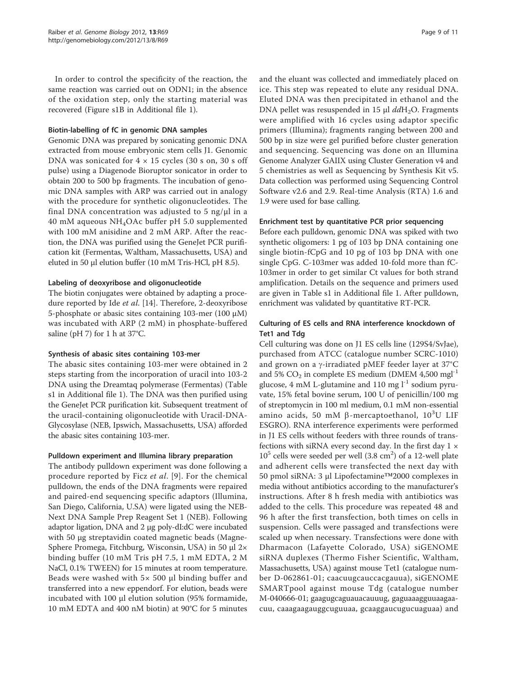In order to control the specificity of the reaction, the same reaction was carried out on ODN1; in the absence of the oxidation step, only the starting material was recovered (Figure s1B in Additional file [1](#page-9-0)).

#### Biotin-labelling of fC in genomic DNA samples

Genomic DNA was prepared by sonicating genomic DNA extracted from mouse embryonic stem cells J1. Genomic DNA was sonicated for  $4 \times 15$  cycles (30 s on, 30 s off pulse) using a Diagenode Bioruptor sonicator in order to obtain 200 to 500 bp fragments. The incubation of genomic DNA samples with ARP was carried out in analogy with the procedure for synthetic oligonucleotides. The final DNA concentration was adjusted to 5 ng/μl in a 40 mM aqueous NH4OAc buffer pH 5.0 supplemented with 100 mM anisidine and 2 mM ARP. After the reaction, the DNA was purified using the GeneJet PCR purification kit (Fermentas, Waltham, Massachusetts, USA) and eluted in 50 µl elution buffer (10 mM Tris-HCl, pH 8.5).

#### Labeling of deoxyribose and oligonucleotide

The biotin conjugates were obtained by adapting a procedure reported by Ide *et al.* [\[14](#page-10-0)]. Therefore, 2-deoxyribose 5-phosphate or abasic sites containing 103-mer (100 μM) was incubated with ARP (2 mM) in phosphate-buffered saline (pH 7) for 1 h at 37°C.

#### Synthesis of abasic sites containing 103-mer

The abasic sites containing 103-mer were obtained in 2 steps starting from the incorporation of uracil into 103-2 DNA using the Dreamtaq polymerase (Fermentas) (Table s1 in Additional file [1\)](#page-9-0). The DNA was then purified using the GeneJet PCR purification kit. Subsequent treatment of the uracil-containing oligonucleotide with Uracil-DNA-Glycosylase (NEB, Ipswich, Massachusetts, USA) afforded the abasic sites containing 103-mer.

### Pulldown experiment and Illumina library preparation

The antibody pulldown experiment was done following a procedure reported by Ficz et al. [\[9\]](#page-10-0). For the chemical pulldown, the ends of the DNA fragments were repaired and paired-end sequencing specific adaptors (Illumina, San Diego, California, U.SA) were ligated using the NEB-Next DNA Sample Prep Reagent Set 1 (NEB). Following adaptor ligation, DNA and 2 μg poly-dI:dC were incubated with 50 μg streptavidin coated magnetic beads (Magne-Sphere Promega, Fitchburg, Wisconsin, USA) in 50 μl 2× binding buffer (10 mM Tris pH 7.5, 1 mM EDTA, 2 M NaCl, 0.1% TWEEN) for 15 minutes at room temperature. Beads were washed with  $5 \times 500$  µl binding buffer and transferred into a new eppendorf. For elution, beads were incubated with 100 μl elution solution (95% formamide, 10 mM EDTA and 400 nM biotin) at 90°C for 5 minutes and the eluant was collected and immediately placed on ice. This step was repeated to elute any residual DNA. Eluted DNA was then precipitated in ethanol and the DNA pellet was resuspended in 15 μl  $ddH_2O$ . Fragments were amplified with 16 cycles using adaptor specific primers (Illumina); fragments ranging between 200 and 500 bp in size were gel purified before cluster generation and sequencing. Sequencing was done on an Illumina Genome Analyzer GAIIX using Cluster Generation v4 and 5 chemistries as well as Sequencing by Synthesis Kit v5. Data collection was performed using Sequencing Control Software v2.6 and 2.9. Real-time Analysis (RTA) 1.6 and 1.9 were used for base calling.

#### Enrichment test by quantitative PCR prior sequencing

Before each pulldown, genomic DNA was spiked with two synthetic oligomers: 1 pg of 103 bp DNA containing one single biotin-fCpG and 10 pg of 103 bp DNA with one single CpG. C-103mer was added 10-fold more than fC-103mer in order to get similar Ct values for both strand amplification. Details on the sequence and primers used are given in Table s1 in Additional file [1](#page-9-0). After pulldown, enrichment was validated by quantitative RT-PCR.

# Culturing of ES cells and RNA interference knockdown of Tet1 and Tdg

Cell culturing was done on J1 ES cells line (129S4/SvJae), purchased from ATCC (catalogue number SCRC-1010) and grown on a  $\gamma$ -irradiated pMEF feeder layer at 37°C and 5%  $CO<sub>2</sub>$  in complete ES medium (DMEM 4,500 mgl<sup>-1</sup> glucose, 4 mM L-glutamine and 110 mg  $l^{-1}$  sodium pyruvate, 15% fetal bovine serum, 100 U of penicillin/100 mg of streptomycin in 100 ml medium, 0.1 mM non-essential amino acids, 50 mM  $\beta$ -mercaptoethanol, 10<sup>3</sup>U LIF ESGRO). RNA interference experiments were performed in J1 ES cells without feeders with three rounds of transfections with siRNA every second day. In the first day  $1 \times$  $10^5$  cells were seeded per well  $(3.8 \text{ cm}^2)$  of a 12-well plate and adherent cells were transfected the next day with 50 pmol siRNA: 3 μl Lipofectamine™2000 complexes in media without antibiotics according to the manufacturer's instructions. After 8 h fresh media with antibiotics was added to the cells. This procedure was repeated 48 and 96 h after the first transfection, both times on cells in suspension. Cells were passaged and transfections were scaled up when necessary. Transfections were done with Dharmacon (Lafayette Colorado, USA) siGENOME siRNA duplexes (Thermo Fisher Scientific, Waltham, Massachusetts, USA) against mouse Tet1 (catalogue number D-062861-01; caacuugcauccacgauua), siGENOME SMARTpool against mouse Tdg (catalogue number M-040666-01; gaagugcaguauacauuug, gaguaaagguuaagaacuu, caaagaagauggcuguuaa, gcaaggaucugucuaguaa) and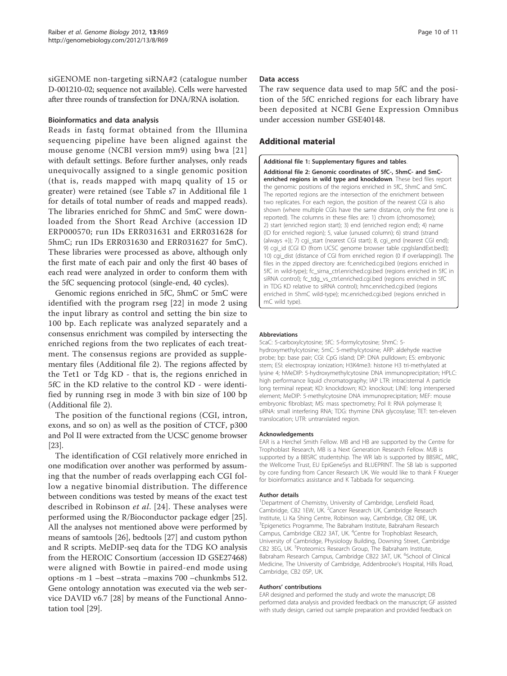<span id="page-9-0"></span>siGENOME non-targeting siRNA#2 (catalogue number D-001210-02; sequence not available). Cells were harvested after three rounds of transfection for DNA/RNA isolation.

#### Bioinformatics and data analysis

Reads in fastq format obtained from the Illumina sequencing pipeline have been aligned against the mouse genome (NCBI version mm9) using bwa [[21](#page-10-0)] with default settings. Before further analyses, only reads unequivocally assigned to a single genomic position (that is, reads mapped with mapq quality of 15 or greater) were retained (see Table s7 in Additional file 1 for details of total number of reads and mapped reads). The libraries enriched for 5hmC and 5mC were downloaded from the Short Read Archive (accession ID ERP000570; run IDs ERR031631 and ERR031628 for 5hmC; run IDs ERR031630 and ERR031627 for 5mC). These libraries were processed as above, although only the first mate of each pair and only the first 40 bases of each read were analyzed in order to conform them with the 5fC sequencing protocol (single-end, 40 cycles).

Genomic regions enriched in 5fC, 5hmC or 5mC were identified with the program rseg [\[22\]](#page-10-0) in mode 2 using the input library as control and setting the bin size to 100 bp. Each replicate was analyzed separately and a consensus enrichment was compiled by intersecting the enriched regions from the two replicates of each treatment. The consensus regions are provided as supplementary files (Additional file 2). The regions affected by the Tet1 or Tdg KD - that is, the regions enriched in 5fC in the KD relative to the control KD - were identified by running rseg in mode 3 with bin size of 100 bp (Additional file 2).

The position of the functional regions (CGI, intron, exons, and so on) as well as the position of CTCF, p300 and Pol II were extracted from the UCSC genome browser [[23](#page-10-0)].

The identification of CGI relatively more enriched in one modification over another was performed by assuming that the number of reads overlapping each CGI follow a negative binomial distribution. The difference between conditions was tested by means of the exact test described in Robinson et al. [[24\]](#page-10-0). These analyses were performed using the R/Bioconductor package edger [\[25](#page-10-0)]. All the analyses not mentioned above were performed by means of samtools [\[26\]](#page-10-0), bedtools [\[27\]](#page-10-0) and custom python and R scripts. MeDIP-seq data for the TDG KO analysis from the HEROIC Consortium (accession ID GSE27468) were aligned with Bowtie in paired-end mode using options -m 1 –best –strata –maxins 700 –chunkmbs 512. Gene ontology annotation was executed via the web service DAVID v6.7 [[28\]](#page-10-0) by means of the Functional Annotation tool [[29\]](#page-10-0).

#### Data access

The raw sequence data used to map 5fC and the position of the 5fC enriched regions for each library have been deposited at NCBI Gene Expression Omnibus under accession number GSE40148.

# Additional material

[Additional file 1: S](http://www.biomedcentral.com/content/supplementary/gb-2012-13-8-r69-S1.DOCX)upplementary figures and tables.

[Additional file 2: G](http://www.biomedcentral.com/content/supplementary/gb-2012-13-8-r69-S2.ZIP)enomic coordinates of 5fC-, 5hmC- and 5mCenriched regions in wild type and knockdown. These bed files report the genomic positions of the regions enriched in 5fC, 5hmC and 5mC. The reported regions are the intersection of the enrichment between two replicates. For each region, the position of the nearest CGI is also shown (where multiple CGIs have the same distance, only the first one is reported). The columns in these files are: 1) chrom (chromosome); 2) start (enriched region start); 3) end (enriched region end); 4) name (ID for enriched region); 5, value (unused column); 6) strand (strand (always +)); 7) cgi\_start (nearest CGI start); 8, cgi\_end (nearest CGI end); 9) cgi\_id (CGI ID (from UCSC genome browser table cpgIslandExt.bed)); 10) cgi\_dist (distance of CGI from enriched region (0 if overlapping)). The files in the zipped directory are: fc.enriched.cgi.bed (regions enriched in 5fC in wild-type); fc\_sirna\_ctrl.enriched.cgi.bed (regions enriched in 5fC in siRNA control); fc\_tdg\_vs\_ctrl.enriched.cgi.bed (regions enriched in 5fC in TDG KD relative to siRNA control); hmc.enriched.cgi.bed (regions enriched in 5hmC wild-type); mc.enriched.cgi.bed (regions enriched in mC wild type).

#### Abbreviations

5caC: 5-carboxylcytosine; 5fC: 5-formylcytosine; 5hmC: 5 hydroxymethylcytosine; 5mC: 5-methylcytosine; ARP: aldehyde reactive probe; bp: base pair; CGI: CpG island; DP: DNA pulldown; ES: embryonic stem; ESI: electrospray ionization; H3K4me3: histone H3 tri-methylated at lysine 4; hMeDIP: 5-hydroxymethylcytosine DNA immunoprecipitation; HPLC: high performance liquid chromatography; IAP LTR: intracisternal A particle long terminal repeat; KD: knockdown; KO: knockout; LINE: long interspersed element; MeDIP: 5-methylcytosine DNA immunoprecipitation; MEF: mouse embryonic fibroblast; MS: mass spectrometry; Pol II: RNA polymerase II; siRNA: small interfering RNA; TDG: thymine DNA glycosylase; TET: ten-eleven translocation; UTR: untranslated region.

#### Acknowledgements

EAR is a Herchel Smith Fellow. MB and HB are supported by the Centre for Trophoblast Research, MB is a Next Generation Research Fellow. MJB is supported by a BBSRC studentship. The WR lab is supported by BBSRC, MRC, the Wellcome Trust, EU EpiGeneSys and BLUEPRINT. The SB lab is supported by core funding from Cancer Research UK. We would like to thank F Krueger for bioinformatics assistance and K Tabbada for sequencing.

#### Author details

<sup>1</sup>Department of Chemistry, University of Cambridge, Lensfield Road, Cambridge, CB2 1EW, UK. <sup>2</sup>Cancer Research UK, Cambridge Research Institute, Li Ka Shing Centre, Robinson way, Cambridge, CB2 0RE, UK. <sup>3</sup> Epigenetics Programme, The Babraham Institute, Babraham Research Campus, Cambridge CB22 3AT, UK. <sup>4</sup>Centre for Trophoblast Research, University of Cambridge, Physiology Building, Downing Street, Cambridge CB2 3EG, UK. <sup>5</sup>Proteomics Research Group, The Babraham Institute Babraham Research Campus, Cambridge CB22 3AT, UK. <sup>6</sup>School of Clinical Medicine, The University of Cambridge, Addenbrooke's Hospital, Hills Road, Cambridge, CB2 0SP, UK.

#### Authors' contributions

EAR designed and performed the study and wrote the manuscript; DB performed data analysis and provided feedback on the manuscript; GF assisted with study design, carried out sample preparation and provided feedback on